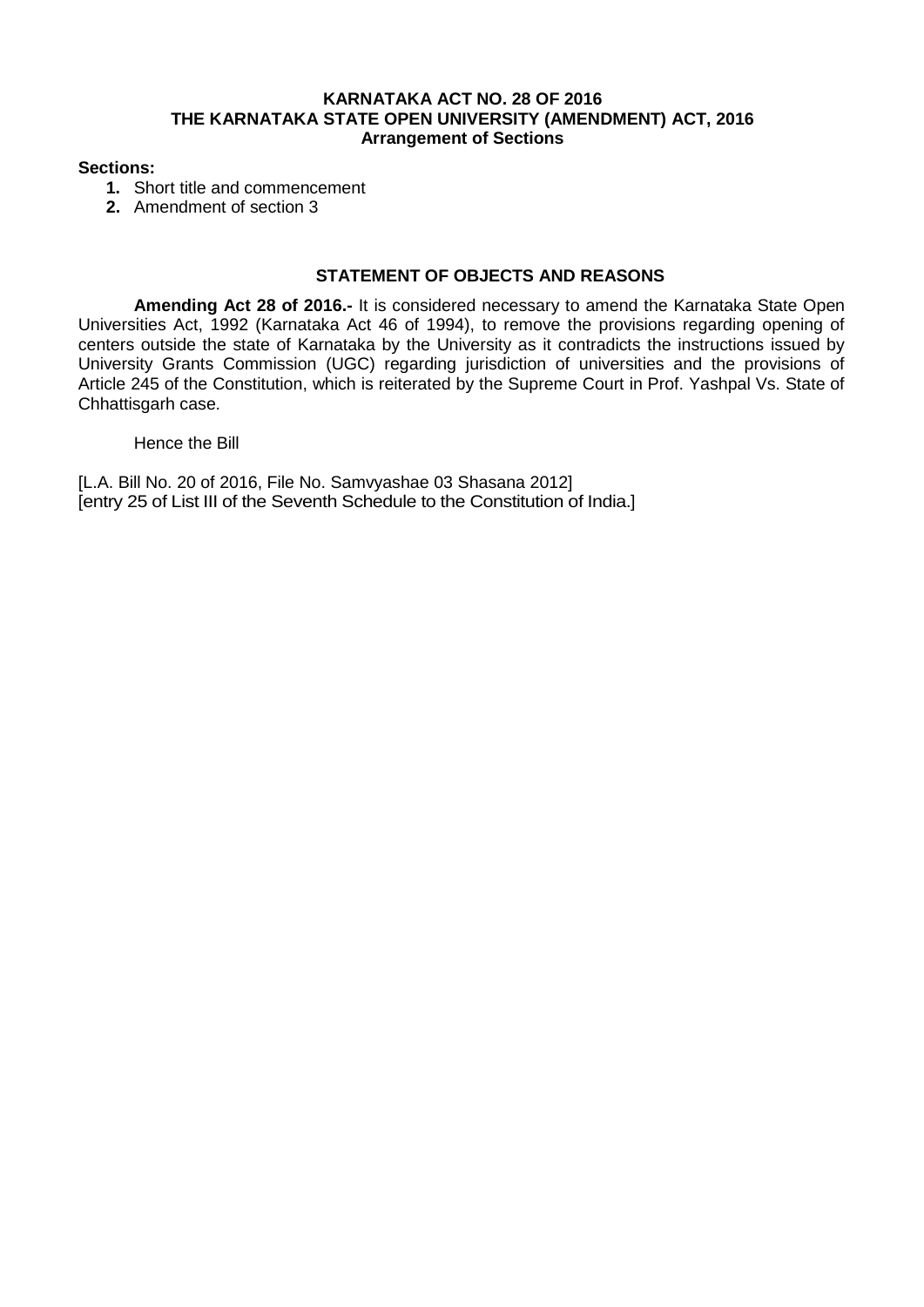# **KARNATAKA ACT NO. 28 OF 2016 THE KARNATAKA STATE OPEN UNIVERSITY (AMENDMENT) ACT, 2016 Arrangement of Sections**

### **Sections:**

- **1.** Short title and commencement
- **2.** Amendment of section 3

# **STATEMENT OF OBJECTS AND REASONS**

**Amending Act 28 of 2016.-** It is considered necessary to amend the Karnataka State Open Universities Act, 1992 (Karnataka Act 46 of 1994), to remove the provisions regarding opening of centers outside the state of Karnataka by the University as it contradicts the instructions issued by University Grants Commission (UGC) regarding jurisdiction of universities and the provisions of Article 245 of the Constitution, which is reiterated by the Supreme Court in Prof. Yashpal Vs. State of Chhattisgarh case.

Hence the Bill

[L.A. Bill No. 20 of 2016, File No. Samvyashae 03 Shasana 2012] [entry 25 of List III of the Seventh Schedule to the Constitution of India.]